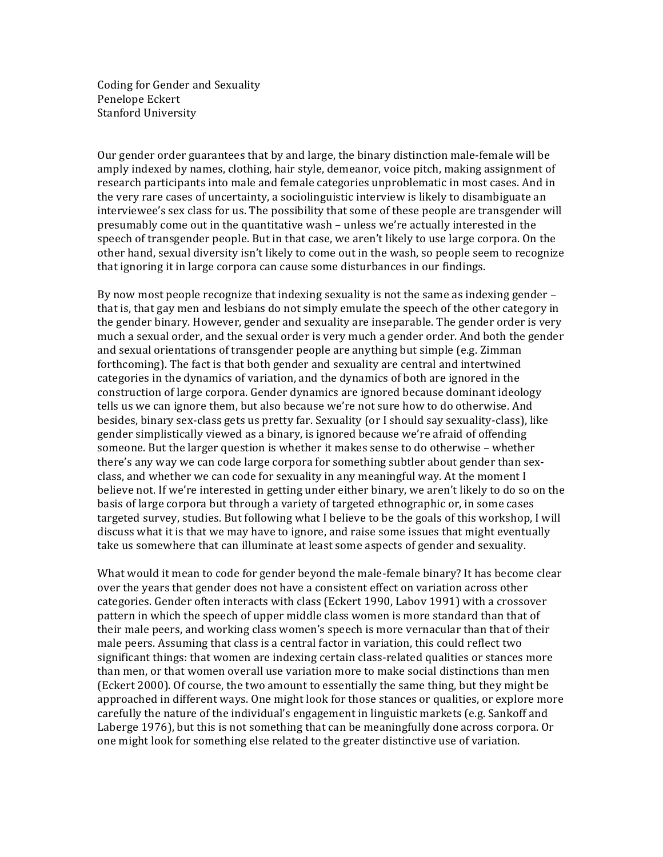Coding for Gender and Sexuality Penelope Eckert Stanford University

Our gender order guarantees that by and large, the binary distinction male-female will be amply indexed by names, clothing, hair style, demeanor, voice pitch, making assignment of research participants into male and female categories unproblematic in most cases. And in the very rare cases of uncertainty, a sociolinguistic interview is likely to disambiguate an interviewee's sex class for us. The possibility that some of these people are transgender will presumably come out in the quantitative wash – unless we're actually interested in the speech of transgender people. But in that case, we aren't likely to use large corpora. On the other hand, sexual diversity isn't likely to come out in the wash, so people seem to recognize that ignoring it in large corpora can cause some disturbances in our findings.

By now most people recognize that indexing sexuality is not the same as indexing gender – that is, that gay men and lesbians do not simply emulate the speech of the other category in the gender binary. However, gender and sexuality are inseparable. The gender order is very much a sexual order, and the sexual order is very much a gender order. And both the gender and sexual orientations of transgender people are anything but simple (e.g. Zimman' forthcoming). The fact is that both gender and sexuality are central and intertwined categories in the dynamics of variation, and the dynamics of both are ignored in the construction of large corpora. Gender dynamics are ignored because dominant ideology tells us we can ignore them, but also because we're not sure how to do otherwise. And besides, binary sex-class gets us pretty far. Sexuality (or I should say sexuality-class), like gender simplistically viewed as a binary, is ignored because we're afraid of offending someone. But the larger question is whether it makes sense to do otherwise – whether there's any way we can code large corpora for something subtler about gender than sexclass, and whether we can code for sexuality in any meaningful way. At the moment I believe not. If we're interested in getting under either binary, we aren't likely to do so on the basis of large corpora but through a variety of targeted ethnographic or, in some cases targeted survey, studies. But following what I believe to be the goals of this workshop, I will discuss what it is that we may have to ignore, and raise some issues that might eventually take us somewhere that can illuminate at least some aspects of gender and sexuality.

What would it mean to code for gender beyond the male-female binary? It has become clear over the years that gender does not have a consistent effect on variation across other categories. Gender often interacts with class (Eckert 1990, Labov 1991) with a crossover pattern in which the speech of upper middle class women is more standard than that of their male peers, and working class women's speech is more vernacular than that of their male peers. Assuming that class is a central factor in variation, this could reflect two significant things: that women are indexing certain class-related qualities or stances more than men, or that women overall use variation more to make social distinctions than men (Eckert 2000). Of course, the two amount to essentially the same thing, but they might be approached in different ways. One might look for those stances or qualities, or explore more carefully the nature of the individual's engagement in linguistic markets (e.g. Sankoff and Laberge 1976), but this is not something that can be meaningfully done across corpora. Or one might look for something else related to the greater distinctive use of variation.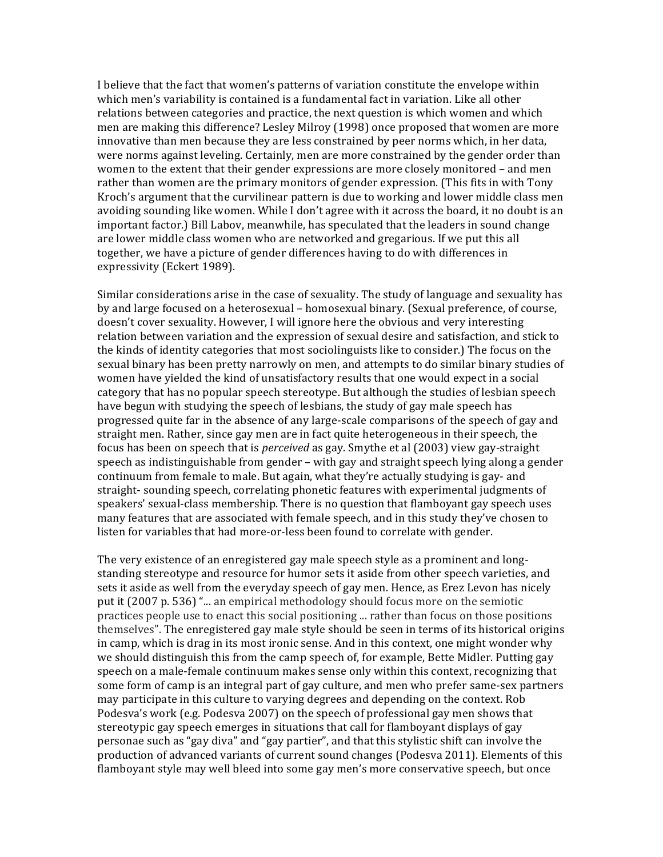I believe that the fact that women's patterns of variation constitute the envelope within which men's variability is contained is a fundamental fact in variation. Like all other relations between categories and practice, the next question is which women and which men are making this difference? Lesley Milroy (1998) once proposed that women are more innovative than men because they are less constrained by peer norms which, in her data, were norms against leveling. Certainly, men are more constrained by the gender order than women'to'the extent that their gender expressions are more closely monitored – and men' rather than women are the primary monitors of gender expression. (This fits in with Tony Kroch's argument that the curvilinear pattern is due to working and lower middle class men avoiding sounding like women. While I don't agree with it across the board, it no doubt is an important factor.) Bill Labov, meanwhile, has speculated that the leaders in sound change are lower middle class women who are networked and gregarious. If we put this all together, we have a picture of gender differences having to do with differences in expressivity (Eckert 1989).

Similar considerations arise in the case of sexuality. The study of language and sexuality has by and large focused on a heterosexual – homosexual binary. (Sexual preference, of course, doesn't cover sexuality. However, I will ignore here the obvious and very interesting relation between variation and the expression of sexual desire and satisfaction, and stick to the kinds of identity categories that most sociolinguists like to consider.) The focus on the sexual binary has been pretty narrowly on men, and attempts to do similar binary studies of women'have yielded the kind of unsatisfactory results that one would expect in a social category that has no popular speech stereotype. But although the studies of lesbian speech have begun with studying the speech of lesbians, the study of gay male speech has progressed quite far in the absence of any large-scale comparisons of the speech of gay and straight men. Rather, since gay men are in fact quite heterogeneous in their speech, the focus has been on speech that is *perceived* as gay. Smythe et al (2003) view gay-straight speech as indistinguishable from gender – with gay and straight speech lying along a gender continuum from female to male. But again, what they're actually studying is gay- and straight-sounding speech, correlating phonetic features with experimental judgments of speakers' sexual-class membership. There is no question that flamboyant gay speech uses many features that are associated with female speech, and in this study they've chosen to listen for variables that had more-or-less been found to correlate with gender.

The very existence of an enregistered gay male speech style as a prominent and longstanding stereotype and resource for humor sets it aside from other speech varieties, and sets it aside as well from the everyday speech of gay men. Hence, as Erez Levon has nicely put it (2007 p. 536) "... an empirical methodology should focus more on the semiotic practices people use to enact this social positioning ... rather than focus on those positions themselves". The enregistered gay male style should be seen in terms of its historical origins in camp, which is drag in its most ironic sense. And in this context, one might wonder why we should distinguish this from the camp speech of, for example, Bette Midler. Putting gay speech on a male-female continuum makes sense only within this context, recognizing that some form of camp is an integral part of gay culture, and men who prefer same-sex partners may participate in this culture to varying degrees and depending on the context. Rob' Podesva's work (e.g. Podesva 2007) on the speech of professional gay men shows that stereotypic gay speech emerges in situations that call for flamboyant displays of gay personae such as "gay diva" and "gay partier", and that this stylistic shift can involve the production of advanced variants of current sound changes (Podesva 2011). Elements of this flamboyant style may well bleed into some gay men's more conservative speech, but once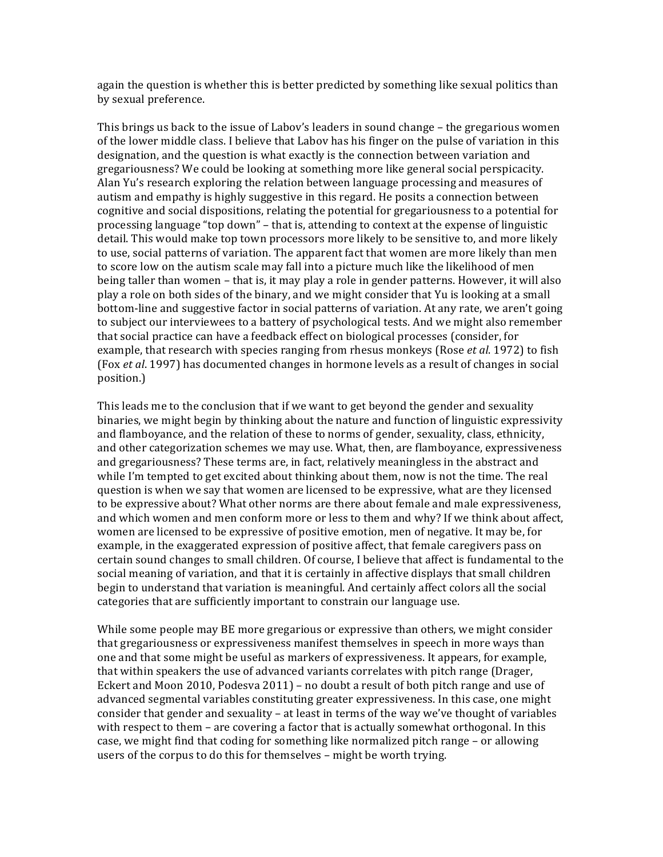again the question is whether this is better predicted by something like sexual politics than by sexual preference.

This brings us back to the issue of Labov's leaders in sound change – the gregarious women' of the lower middle class. I believe that Labov has his finger on the pulse of variation in this designation, and the question is what exactly is the connection between variation and gregariousness? We could be looking at something more like general social perspicacity. Alan Yu's research exploring the relation between language processing and measures of autism and empathy is highly suggestive in this regard. He posits a connection between cognitive and social dispositions, relating the potential for gregariousness to a potential for processing language "top down" – that is, attending to context at the expense of linguistic detail. This would make top town processors more likely to be sensitive to, and more likely to use, social patterns of variation. The apparent fact that women are more likely than men to score low on the autism scale may fall into a picture much like the likelihood of men being taller than women – that is, it may play a role in gender patterns. However, it will also play a role on both sides of the binary, and we might consider that Yu is looking at a small bottom-line and suggestive factor in social patterns of variation. At any rate, we aren't going to subject our interviewees to a battery of psychological tests. And we might also remember that social practice can have a feedback effect on biological processes (consider, for example, that research with species ranging from rhesus monkeys (Rose *et al.* 1972) to fish (Fox *et al.* 1997) has documented changes in hormone levels as a result of changes in social position.)

This leads me to the conclusion that if we want to get beyond the gender and sexuality binaries, we might begin by thinking about the nature and function of linguistic expressivity and flamboyance, and the relation of these to norms of gender, sexuality, class, ethnicity, and other categorization schemes we may use. What, then, are flamboyance, expressiveness and gregariousness? These terms are, in fact, relatively meaningless in the abstract and while I'm tempted to get excited about thinking about them, now is not the time. The real question is when we say that women are licensed to be expressive, what are they licensed to be expressive about? What other norms are there about female and male expressiveness, and which women and men conform more or less to them and why? If we think about affect, women'are licensed to be expressive of positive emotion, men' of negative. It may be, for example, in the exaggerated expression of positive affect, that female caregivers pass on certain sound changes to small children. Of course, I believe that affect is fundamental to the social meaning of variation, and that it is certainly in affective displays that small children begin to understand that variation is meaningful. And certainly affect colors all the social categories that are sufficiently important to constrain our language use.

While some people may BE more gregarious or expressive than others, we might consider that gregariousness or expressiveness manifest themselves in speech in more ways than one and that some might be useful as markers of expressiveness. It appears, for example, that within'speakers' the use of advanced variants correlates with pitch range (Drager, Eckert and Moon 2010, Podesva 2011) – no doubt a result of both pitch range and use of advanced segmental variables constituting greater expressiveness. In this case, one might consider that gender and sexuality – at least in terms of the way we've thought of variables with respect to them – are covering a factor that is actually somewhat orthogonal. In this case, we might find that coding for something like normalized pitch range – or allowing users of the corpus to do this for themselves - might be worth trying.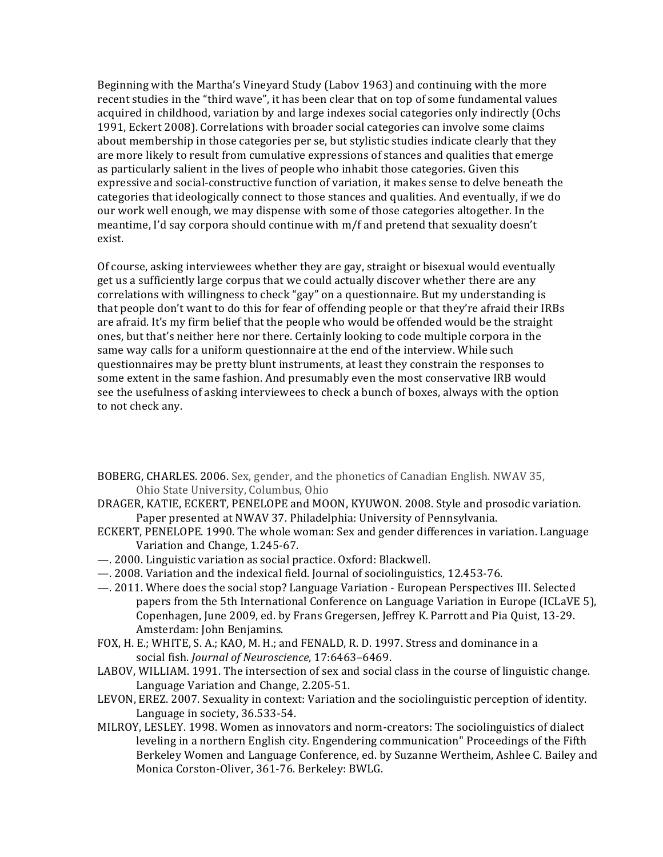Beginning with the Martha's Vineyard Study (Labov 1963) and continuing with the more recent studies in the "third wave", it has been clear that on top of some fundamental values acquired in childhood, variation by and large indexes social categories only indirectly (Ochs 1991, Eckert 2008). Correlations with broader social categories can involve some claims about membership in those categories per se, but stylistic studies indicate clearly that they are more likely to result from cumulative expressions of stances and qualities that emerge as particularly salient in the lives of people who inhabit those categories. Given this expressive and social-constructive function of variation, it makes sense to delve beneath the categories that ideologically connect to those stances and qualities. And eventually, if we do our' work well enough, we may dispense with some of those categories altogether. In the meantime, I'd say corpora should continue with  $m/f$  and pretend that sexuality doesn't exist.

Of course, asking interviewees whether they are gay, straight or bisexual would eventually get us a sufficiently large corpus that we could actually discover whether there are any correlations with willingness to check "gay" on a questionnaire. But my understanding is that people don't want to do this for fear of offending people or that they're afraid their IRBs are afraid. It's my firm belief that the people who would be offended would be the straight ones, but that's neither here nor there. Certainly looking to code multiple corpora in the same way calls for a uniform questionnaire at the end of the interview. While such questionnaires may be pretty blunt instruments, at least they constrain the responses to some extent in the same fashion. And presumably even the most conservative IRB would see the usefulness of asking interviewees to check a bunch of boxes, always with the option to not check any.

- BOBERG, CHARLES. 2006. Sex, gender, and the phonetics of Canadian English. NWAV 35, Ohio State University, Columbus, Ohio
- DRAGER, KATIE, ECKERT, PENELOPE and MOON, KYUWON. 2008. Style and prosodic variation. Paper presented at NWAV 37. Philadelphia: University of Pennsylvania.
- ECKERT, PENELOPE. 1990. The whole woman: Sex and gender differences in variation. Language Variation and Change, 1.245-67.
- $-$ . 2000. Linguistic variation as social practice. Oxford: Blackwell.
- —. 2008. Variation and the indexical field. Journal of sociolinguistics, 12.453-76.
- $-$ . 2011. Where does the social stop? Language Variation European Perspectives III. Selected papers from the 5th International Conference on Language Variation in Europe (ICLaVE 5), Copenhagen, June 2009, ed. by Frans Gregersen, Jeffrey K. Parrott and Pia Quist, 13-29. Amsterdam: John Benjamins.
- FOX, H. E.; WHITE, S. A.; KAO, M. H.; and FENALD, R. D. 1997. Stress and dominance in a social fish. *Journal of Neuroscience*, 17:6463-6469.
- LABOV, WILLIAM. 1991. The intersection of sex and social class in the course of linguistic change. Language Variation and Change, 2.205-51.
- LEVON, EREZ. 2007. Sexuality in context: Variation and the sociolinguistic perception of identity. Language in society, 36.533-54.
- MILROY, LESLEY. 1998. Women as innovators and norm-creators: The sociolinguistics of dialect leveling in a northern English city. Engendering communication" Proceedings of the Fifth Berkeley Women and Language Conference, ed. by Suzanne Wertheim, Ashlee C. Bailey and Monica Corston-Oliver, 361-76. Berkeley: BWLG.